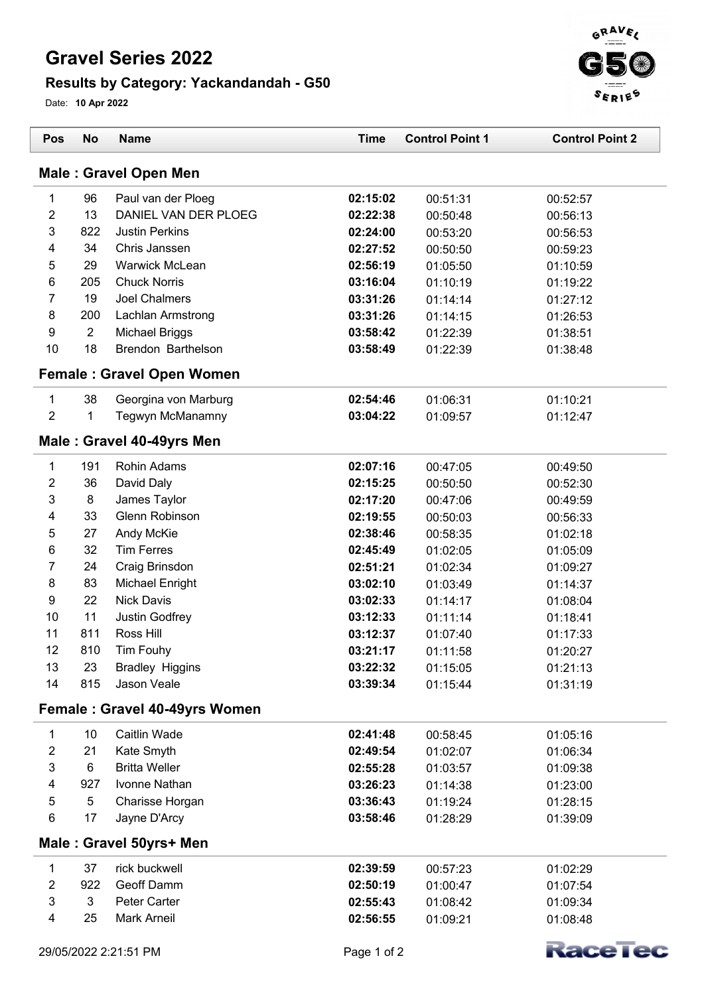## **Gravel Series 2022**

## **Results by Category: Yackandandah - G50**

Date: **10 Apr 2022**

| Pos                       | <b>No</b>      | <b>Name</b>                      | <b>Time</b> | <b>Control Point 1</b> | <b>Control Point 2</b> |
|---------------------------|----------------|----------------------------------|-------------|------------------------|------------------------|
|                           |                | <b>Male: Gravel Open Men</b>     |             |                        |                        |
| 1                         | 96             | Paul van der Ploeg               | 02:15:02    | 00:51:31               | 00:52:57               |
| 2                         | 13             | DANIEL VAN DER PLOEG             | 02:22:38    | 00:50:48               | 00:56:13               |
| 3                         | 822            | <b>Justin Perkins</b>            | 02:24:00    | 00:53:20               | 00:56:53               |
| 4                         | 34             | Chris Janssen                    | 02:27:52    | 00:50:50               | 00:59:23               |
| 5                         | 29             | Warwick McLean                   | 02:56:19    | 01:05:50               | 01:10:59               |
| 6                         | 205            | <b>Chuck Norris</b>              | 03:16:04    | 01:10:19               | 01:19:22               |
| 7                         | 19             | <b>Joel Chalmers</b>             | 03:31:26    | 01:14:14               | 01:27:12               |
| 8                         | 200            | Lachlan Armstrong                | 03:31:26    | 01:14:15               | 01:26:53               |
| 9                         | $\overline{2}$ | <b>Michael Briggs</b>            | 03:58:42    | 01:22:39               | 01:38:51               |
| 10                        | 18             | Brendon Barthelson               | 03:58:49    | 01:22:39               | 01:38:48               |
|                           |                | <b>Female: Gravel Open Women</b> |             |                        |                        |
| 1                         | 38             | Georgina von Marburg             | 02:54:46    | 01:06:31               | 01:10:21               |
| $\overline{2}$            | 1              | Tegwyn McManamny                 | 03:04:22    | 01:09:57               | 01:12:47               |
|                           |                | Male: Gravel 40-49yrs Men        |             |                        |                        |
| $\mathbf{1}$              | 191            | <b>Rohin Adams</b>               | 02:07:16    | 00:47:05               | 00:49:50               |
| 2                         | 36             | David Daly                       | 02:15:25    | 00:50:50               | 00:52:30               |
| 3                         | $\bf 8$        | James Taylor                     | 02:17:20    | 00:47:06               | 00:49:59               |
| 4                         | 33             | Glenn Robinson                   | 02:19:55    | 00:50:03               | 00:56:33               |
| 5                         | 27             | Andy McKie                       | 02:38:46    | 00:58:35               | 01:02:18               |
| 6                         | 32             | <b>Tim Ferres</b>                | 02:45:49    | 01:02:05               | 01:05:09               |
| 7                         | 24             | Craig Brinsdon                   | 02:51:21    | 01:02:34               | 01:09:27               |
| 8                         | 83             | Michael Enright                  | 03:02:10    | 01:03:49               | 01:14:37               |
| $\boldsymbol{9}$          | 22             | <b>Nick Davis</b>                | 03:02:33    | 01:14:17               | 01:08:04               |
| 10                        | 11             | Justin Godfrey                   | 03:12:33    | 01:11:14               | 01:18:41               |
| 11                        | 811            | Ross Hill                        | 03:12:37    | 01:07:40               | 01:17:33               |
| 12                        | 810            | Tim Fouhy                        | 03:21:17    | 01:11:58               | 01:20:27               |
| 13                        | 23             | <b>Bradley Higgins</b>           | 03:22:32    | 01:15:05               | 01:21:13               |
| 14                        | 815            | Jason Veale                      | 03:39:34    | 01:15:44               | 01:31:19               |
|                           |                | Female: Gravel 40-49yrs Women    |             |                        |                        |
| $\mathbf{1}$              | 10             | Caitlin Wade                     | 02:41:48    | 00:58:45               | 01:05:16               |
| 2                         | 21             | Kate Smyth                       | 02:49:54    | 01:02:07               | 01:06:34               |
| $\ensuremath{\mathsf{3}}$ | 6              | <b>Britta Weller</b>             | 02:55:28    | 01:03:57               | 01:09:38               |
| 4                         | 927            | Ivonne Nathan                    | 03:26:23    | 01:14:38               | 01:23:00               |
| 5                         | 5              | Charisse Horgan                  | 03:36:43    | 01:19:24               | 01:28:15               |
| 6                         | 17             | Jayne D'Arcy                     | 03:58:46    | 01:28:29               | 01:39:09               |
|                           |                | Male: Gravel 50yrs+ Men          |             |                        |                        |
| $\mathbf{1}$              | 37             | rick buckwell                    | 02:39:59    | 00:57:23               | 01:02:29               |
| $\overline{\mathbf{c}}$   | 922            | Geoff Damm                       | 02:50:19    | 01:00:47               | 01:07:54               |
| $\ensuremath{\mathsf{3}}$ | 3              | Peter Carter                     | 02:55:43    | 01:08:42               | 01:09:34               |
| 4                         | 25             | <b>Mark Arneil</b>               | 02:56:55    | 01:09:21               | 01:08:48               |





 $\overline{ }$